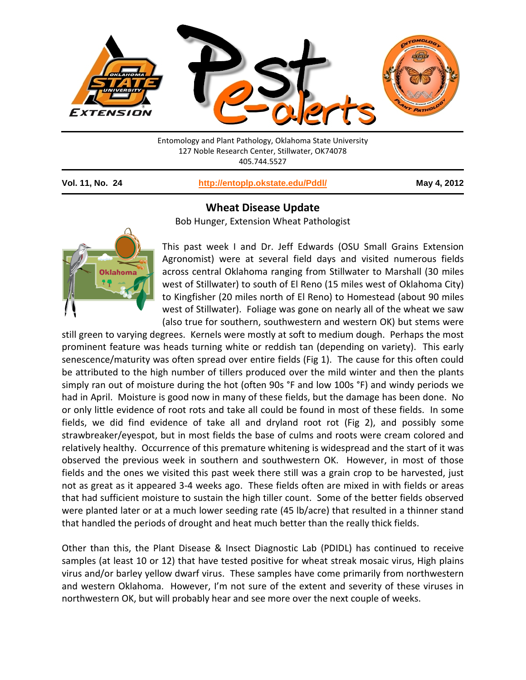

Entomology and Plant Pathology, Oklahoma State University 127 Noble Research Center, Stillwater, OK74078 405.744.5527

**Vol. 11, No. 24 <http://entoplp.okstate.edu/Pddl/> May 4, 2012**

## **Wheat Disease Update**

Bob Hunger, Extension Wheat Pathologist



This past week I and Dr. Jeff Edwards (OSU Small Grains Extension Agronomist) were at several field days and visited numerous fields across central Oklahoma ranging from Stillwater to Marshall (30 miles west of Stillwater) to south of El Reno (15 miles west of Oklahoma City) to Kingfisher (20 miles north of El Reno) to Homestead (about 90 miles west of Stillwater). Foliage was gone on nearly all of the wheat we saw (also true for southern, southwestern and western OK) but stems were

still green to varying degrees. Kernels were mostly at soft to medium dough. Perhaps the most prominent feature was heads turning white or reddish tan (depending on variety). This early senescence/maturity was often spread over entire fields (Fig 1). The cause for this often could be attributed to the high number of tillers produced over the mild winter and then the plants simply ran out of moisture during the hot (often 90s °F and low 100s °F) and windy periods we had in April. Moisture is good now in many of these fields, but the damage has been done. No or only little evidence of root rots and take all could be found in most of these fields. In some fields, we did find evidence of take all and dryland root rot (Fig 2), and possibly some strawbreaker/eyespot, but in most fields the base of culms and roots were cream colored and relatively healthy. Occurrence of this premature whitening is widespread and the start of it was observed the previous week in southern and southwestern OK. However, in most of those fields and the ones we visited this past week there still was a grain crop to be harvested, just not as great as it appeared 3-4 weeks ago. These fields often are mixed in with fields or areas that had sufficient moisture to sustain the high tiller count. Some of the better fields observed were planted later or at a much lower seeding rate (45 lb/acre) that resulted in a thinner stand that handled the periods of drought and heat much better than the really thick fields.

Other than this, the Plant Disease & Insect Diagnostic Lab (PDIDL) has continued to receive samples (at least 10 or 12) that have tested positive for wheat streak mosaic virus, High plains virus and/or barley yellow dwarf virus. These samples have come primarily from northwestern and western Oklahoma. However, I'm not sure of the extent and severity of these viruses in northwestern OK, but will probably hear and see more over the next couple of weeks.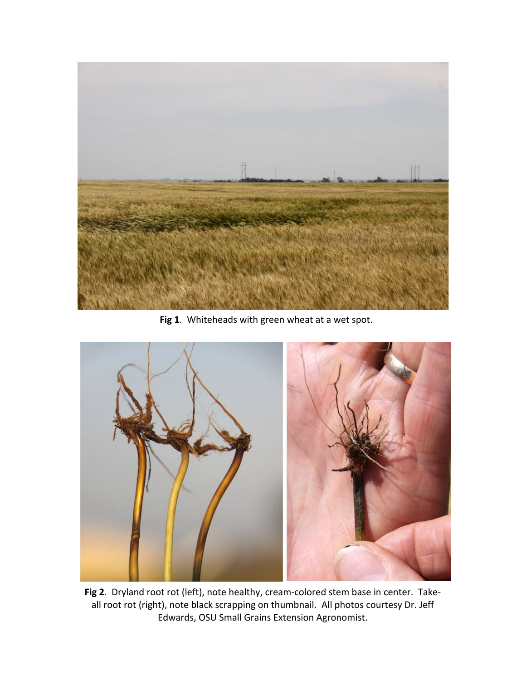

**Fig 1**. Whiteheads with green wheat at a wet spot.



**Fig 2**. Dryland root rot (left), note healthy, cream-colored stem base in center. Takeall root rot (right), note black scrapping on thumbnail. All photos courtesy Dr. Jeff Edwards, OSU Small Grains Extension Agronomist.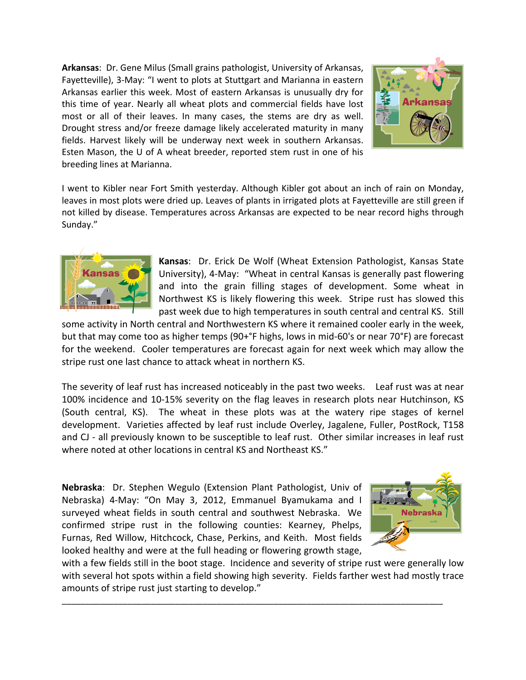**Arkansas**: Dr. Gene Milus (Small grains pathologist, University of Arkansas, Fayetteville), 3-May: "I went to plots at Stuttgart and Marianna in eastern Arkansas earlier this week. Most of eastern Arkansas is unusually dry for this time of year. Nearly all wheat plots and commercial fields have lost most or all of their leaves. In many cases, the stems are dry as well. Drought stress and/or freeze damage likely accelerated maturity in many fields. Harvest likely will be underway next week in southern Arkansas. Esten Mason, the U of A wheat breeder, reported stem rust in one of his breeding lines at Marianna.



I went to Kibler near Fort Smith yesterday. Although Kibler got about an inch of rain on Monday, leaves in most plots were dried up. Leaves of plants in irrigated plots at Fayetteville are still green if not killed by disease. Temperatures across Arkansas are expected to be near record highs through Sunday."



**Kansas**: Dr. Erick De Wolf (Wheat Extension Pathologist, Kansas State University), 4-May: "Wheat in central Kansas is generally past flowering and into the grain filling stages of development. Some wheat in Northwest KS is likely flowering this week. Stripe rust has slowed this past week due to high temperatures in south central and central KS. Still

some activity in North central and Northwestern KS where it remained cooler early in the week, but that may come too as higher temps (90+°F highs, lows in mid-60's or near 70°F) are forecast for the weekend. Cooler temperatures are forecast again for next week which may allow the stripe rust one last chance to attack wheat in northern KS.

The severity of leaf rust has increased noticeably in the past two weeks. Leaf rust was at near 100% incidence and 10-15% severity on the flag leaves in research plots near Hutchinson, KS (South central, KS). The wheat in these plots was at the watery ripe stages of kernel development. Varieties affected by leaf rust include Overley, Jagalene, Fuller, PostRock, T158 and CJ - all previously known to be susceptible to leaf rust. Other similar increases in leaf rust where noted at other locations in central KS and Northeast KS."

**Nebraska**: Dr. Stephen Wegulo (Extension Plant Pathologist, Univ of Nebraska) 4-May: "On May 3, 2012, Emmanuel Byamukama and I surveyed wheat fields in south central and southwest Nebraska. We confirmed stripe rust in the following counties: Kearney, Phelps, Furnas, Red Willow, Hitchcock, Chase, Perkins, and Keith. Most fields looked healthy and were at the full heading or flowering growth stage,



with a few fields still in the boot stage. Incidence and severity of stripe rust were generally low with several hot spots within a field showing high severity. Fields farther west had mostly trace amounts of stripe rust just starting to develop."

\_\_\_\_\_\_\_\_\_\_\_\_\_\_\_\_\_\_\_\_\_\_\_\_\_\_\_\_\_\_\_\_\_\_\_\_\_\_\_\_\_\_\_\_\_\_\_\_\_\_\_\_\_\_\_\_\_\_\_\_\_\_\_\_\_\_\_\_\_\_\_\_\_\_\_\_\_\_\_\_\_